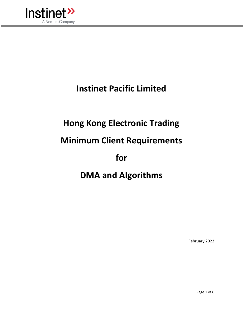

# **Instinet Pacific Limited**

# **Hong Kong Electronic Trading**

### **Minimum Client Requirements**

### **for**

## **DMA and Algorithms**

February 2022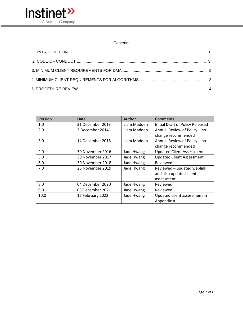

#### **Contents**

| Version | Date             | Author      | Comments                         |  |  |
|---------|------------------|-------------|----------------------------------|--|--|
| 1.0     | 31 December 2013 | Liam Madden | Initial Draft of Policy Released |  |  |
| 2.0     | 3 December 2014  | Liam Madden | Annual Review of Policy - no     |  |  |
|         |                  |             | change recommended               |  |  |
| 3.0     | 14 December 2015 | Liam Madden | Annual Review of Policy - no     |  |  |
|         |                  |             | change recommended               |  |  |
| 4.0     | 30 November 2016 | Jade Hwang  | <b>Updated Client Assessment</b> |  |  |
| 5.0     | 30 November 2017 | Jade Hwang  | <b>Updated Client Assessment</b> |  |  |
| 6.0     | 30 November 2018 | Jade Hwang  | Reviewed                         |  |  |
| 7.0     | 25 November 2019 | Jade Hwang  | Reviewed - updated weblink       |  |  |
|         |                  |             | and also updated client          |  |  |
|         |                  |             | assessment                       |  |  |
| 8.0     | 04 December 2020 | Jade Hwang  | Reviewed                         |  |  |
| 9.0     | 03 December 2021 | Jade Hwang  | Reviewed                         |  |  |
| 10.0    | 17 February 2022 | Jade Hwang  | Updated client assessment in     |  |  |
|         |                  |             | Appendix A                       |  |  |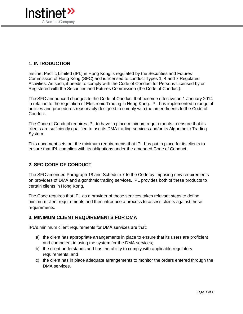

### **1. INTRODUCTION**

Instinet Pacific Limited (IPL) in Hong Kong is regulated by the Securities and Futures Commission of Hong Kong (SFC) and is licensed to conduct Types 1, 4 and 7 Regulated Activities. As such, it needs to comply with the Code of Conduct for Persons Licensed by or Registered with the Securities and Futures Commission (the Code of Conduct).

The SFC announced changes to the Code of Conduct that become effective on 1 January 2014 in relation to the regulation of Electronic Trading in Hong Kong. IPL has implemented a range of policies and procedures reasonably designed to comply with the amendments to the Code of Conduct.

The Code of Conduct requires IPL to have in place minimum requirements to ensure that its clients are sufficiently qualified to use its DMA trading services and/or its Algorithmic Trading System.

This document sets out the minimum requirements that IPL has put in place for its clients to ensure that IPL complies with its obligations under the amended Code of Conduct.

#### **2. SFC CODE OF CONDUCT**

The SFC amended Paragraph 18 and Schedule 7 to the Code by imposing new requirements on providers of DMA and algorithmic trading services. IPL provides both of these products to certain clients in Hong Kong.

The Code requires that IPL as a provider of these services takes relevant steps to define minimum client requirements and then introduce a process to assess clients against these requirements.

#### **3. MINIMUM CLIENT REQUIREMENTS FOR DMA**

IPL's minimum client requirements for DMA services are that:

- a) the client has appropriate arrangements in place to ensure that its users are proficient and competent in using the system for the DMA services;
- b) the client understands and has the ability to comply with applicable regulatory requirements; and
- c) the client has in place adequate arrangements to monitor the orders entered through the DMA services.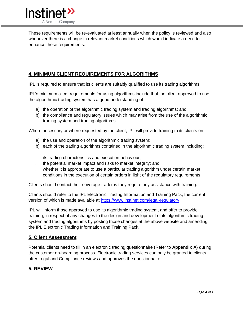

These requirements will be re-evaluated at least annually when the policy is reviewed and also whenever there is a change in relevant market conditions which would indicate a need to enhance these requirements.

### **4. MINIMUM CLIENT REQUIREMENTS FOR ALGORITHMS**

IPL is required to ensure that its clients are suitably qualified to use its trading algorithms.

IPL's minimum client requirements for using algorithms include that the client approved to use the algorithmic trading system has a good understanding of:

- a) the operation of the algorithmic trading system and trading algorithms; and
- b) the compliance and regulatory issues which may arise from the use of the algorithmic trading system and trading algorithms.

Where necessary or where requested by the client, IPL will provide training to its clients on:

- a) the use and operation of the algorithmic trading system;
- b) each of the trading algorithms contained in the algorithmic trading system including:
- i. its trading characteristics and execution behaviour;
- ii. the potential market impact and risks to market integrity; and
- iii. whether it is appropriate to use a particular trading algorithm under certain market conditions in the execution of certain orders in light of the regulatory requirements.

Clients should contact their coverage trader is they require any assistance with training.

Clients should refer to the IPL Electronic Trading Information and Training Pack, the current version of which is made available at<https://www.instinet.com/legal-regulatory>

IPL will inform those approved to use its algorithmic trading system, and offer to provide training, in respect of any changes to the design and development of its algorithmic trading system and trading algorithms by posting those changes at the above website and amending the IPL Electronic Trading Information and Training Pack.

#### **5. Client Assessment**

Potential clients need to fill in an electronic trading questionnaire (Refer to **Appendix A**) during the customer on-boarding process. Electronic trading services can only be granted to clients after Legal and Compliance reviews and approves the questionnaire.

#### **5. REVIEW**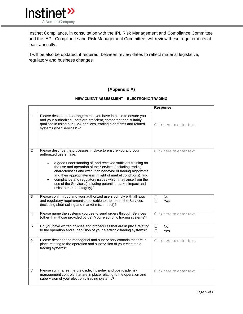

Instinet Compliance, in consultation with the IPL Risk Management and Compliance Committee and the IAPL Compliance and Risk Management Committee, will review these requirements at least annually.

It will be also be updated, if required, between review dates to reflect material legislative, regulatory and business changes.

#### **(Appendix A)**

#### **NEW CLIENT ASSESSMENT – ELECTRONIC TRADING**

|                |                                                                                                                                                                                                                                                                                                                                                                                                                                               | Response                        |
|----------------|-----------------------------------------------------------------------------------------------------------------------------------------------------------------------------------------------------------------------------------------------------------------------------------------------------------------------------------------------------------------------------------------------------------------------------------------------|---------------------------------|
| $\mathbf{1}$   | Please describe the arrangements you have in place to ensure you<br>and your authorized users are proficient, competent and suitably<br>qualified in using our DMA services, trading algorithms and related<br>systems (the "Services")?                                                                                                                                                                                                      | Click here to enter text.       |
| 2              | Please describe the processes in place to ensure you and your<br>authorized users have:                                                                                                                                                                                                                                                                                                                                                       | Click here to enter text.       |
|                | a good understanding of, and received sufficient training on<br>$\bullet$<br>the use and operation of the Services (including trading<br>characteristics and execution behavior of trading algorithms<br>and their appropriateness in light of market conditions); and<br>compliance and regulatory issues which may arise from the<br>$\bullet$<br>use of the Services (including potential market impact and<br>risks to market integrity)? |                                 |
| 3              | Please confirm you and your authorized users comply with all laws<br>and regulatory requirements applicable to the use of the Services<br>(including short selling and market misconduct)?                                                                                                                                                                                                                                                    | No<br>□<br>П<br>Yes             |
| 4              | Please name the systems you use to send orders through Services<br>(other than those provided by us)("your electronic trading systems")                                                                                                                                                                                                                                                                                                       | Click here to enter text.       |
| 5              | Do you have written policies and procedures that are in place relating<br>to the operation and supervision of your electronic trading systems?                                                                                                                                                                                                                                                                                                | $\Box$<br><b>No</b><br>П<br>Yes |
| 6              | Please describe the managerial and supervisory controls that are in<br>place relating to the operation and supervision of your electronic<br>trading systems?                                                                                                                                                                                                                                                                                 | Click here to enter text.       |
| $\overline{7}$ | Please summarise the pre-trade, intra-day and post-trade risk<br>management controls that are in place relating to the operation and<br>supervision of your electronic trading systems?                                                                                                                                                                                                                                                       | Click here to enter text.       |